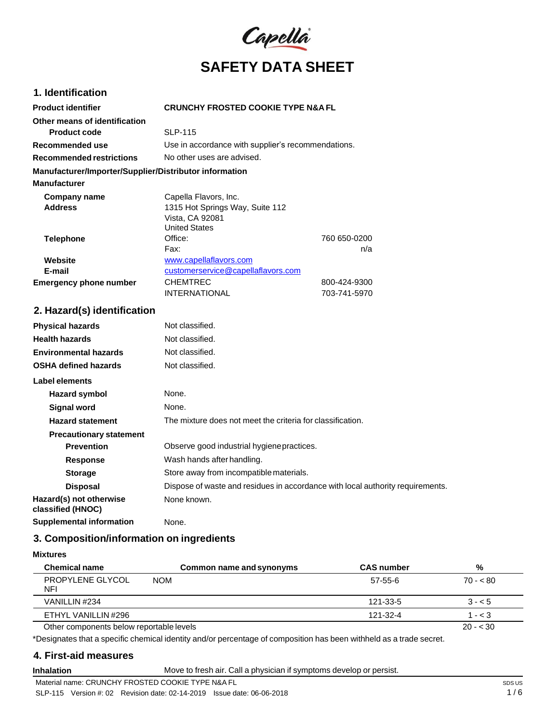

## **1. Identification**

| <b>Product identifier</b>                              | <b>CRUNCHY FROSTED COOKIE TYPE N&amp;A FL</b>      |              |
|--------------------------------------------------------|----------------------------------------------------|--------------|
| Other means of identification                          |                                                    |              |
| <b>Product code</b>                                    | <b>SLP-115</b>                                     |              |
| Recommended use                                        | Use in accordance with supplier's recommendations. |              |
| <b>Recommended restrictions</b>                        | No other uses are advised.                         |              |
| Manufacturer/Importer/Supplier/Distributor information |                                                    |              |
| <b>Manufacturer</b>                                    |                                                    |              |
| Company name                                           | Capella Flavors, Inc.                              |              |
| <b>Address</b>                                         | 1315 Hot Springs Way, Suite 112                    |              |
|                                                        | Vista, CA 92081                                    |              |
|                                                        | <b>United States</b>                               |              |
| <b>Telephone</b>                                       | Office:                                            | 760 650-0200 |
|                                                        | Fax:                                               | n/a          |
| Website                                                | www.capellaflavors.com                             |              |
| E-mail                                                 | customerservice@capellaflavors.com                 |              |
| <b>Emergency phone number</b>                          | <b>CHEMTREC</b>                                    | 800-424-9300 |
|                                                        | <b>INTERNATIONAL</b>                               | 703-741-5970 |

## **2. Hazard(s) identification**

| <b>Physical hazards</b>                      | Not classified.                                                                |
|----------------------------------------------|--------------------------------------------------------------------------------|
| <b>Health hazards</b>                        | Not classified.                                                                |
| <b>Environmental hazards</b>                 | Not classified.                                                                |
| <b>OSHA defined hazards</b>                  | Not classified.                                                                |
| Label elements                               |                                                                                |
| Hazard symbol                                | None.                                                                          |
| Signal word                                  | None.                                                                          |
| <b>Hazard statement</b>                      | The mixture does not meet the criteria for classification.                     |
| <b>Precautionary statement</b>               |                                                                                |
| <b>Prevention</b>                            | Observe good industrial hygiene practices.                                     |
| <b>Response</b>                              | Wash hands after handling.                                                     |
| <b>Storage</b>                               | Store away from incompatible materials.                                        |
| <b>Disposal</b>                              | Dispose of waste and residues in accordance with local authority requirements. |
| Hazard(s) not otherwise<br>classified (HNOC) | None known.                                                                    |
| <b>Supplemental information</b>              | None.                                                                          |

# **3. Composition/information on ingredients**

**Mixtures**

| <b>Chemical name</b>                     | Common name and synonyms | <b>CAS</b> number | %         |
|------------------------------------------|--------------------------|-------------------|-----------|
| PROPYLENE GLYCOL<br>NFI                  | <b>NOM</b>               | 57-55-6           | $70 - 80$ |
| VANILLIN #234                            |                          | 121-33-5          | $3 - 5$   |
| ETHYL VANILLIN #296                      |                          | 121-32-4          | $1 - < 3$ |
| Other components below reportable levels |                          |                   | $20 - 30$ |

\*Designates that a specific chemical identity and/or percentage of composition has been withheld as a trade secret.

## **4. First-aid measures**

**Inhalation** Move to fresh air. Call a physician if symptoms develop or persist.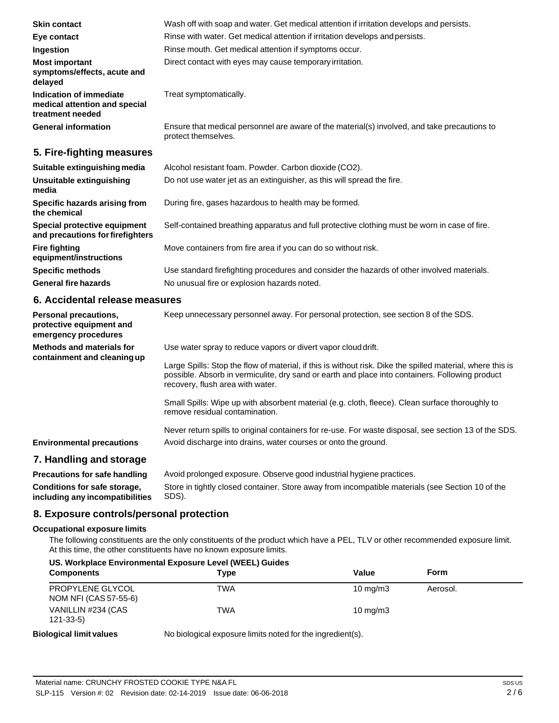| <b>Skin contact</b>                                                          | Wash off with soap and water. Get medical attention if irritation develops and persists.                            |
|------------------------------------------------------------------------------|---------------------------------------------------------------------------------------------------------------------|
| Eye contact                                                                  | Rinse with water. Get medical attention if irritation develops and persists.                                        |
| Ingestion                                                                    | Rinse mouth. Get medical attention if symptoms occur.                                                               |
| <b>Most important</b><br>symptoms/effects, acute and<br>delayed              | Direct contact with eyes may cause temporary irritation.                                                            |
| Indication of immediate<br>medical attention and special<br>treatment needed | Treat symptomatically.                                                                                              |
| <b>General information</b>                                                   | Ensure that medical personnel are aware of the material(s) involved, and take precautions to<br>protect themselves. |
| 5. Fire-fighting measures                                                    |                                                                                                                     |
| Suitable extinguishing media                                                 | Alcohol resistant foam. Powder. Carbon dioxide (CO2).                                                               |
| Unsuitable extinguishing<br>media                                            | Do not use water jet as an extinguisher, as this will spread the fire.                                              |
| Specific hazards arising from                                                | During fire, gases hazardous to health may be formed.                                                               |

**Special protective equipment and precautions forfirefighters** Self-contained breathing apparatus and full protective clothing must be worn in case of fire.

Move containers from fire area if you can do so without risk.

**General fire hazards** Use standard firefighting procedures and consider the hazards of other involved materials. No unusual fire or explosion hazards noted.

#### **6. Accidental release measures**

**the chemical**

**Fire fighting**

**equipment/instructions Specific methods**

| <b>Personal precautions,</b><br>protective equipment and<br>emergency procedures | Keep unnecessary personnel away. For personal protection, see section 8 of the SDS.                                                                                                                                                               |
|----------------------------------------------------------------------------------|---------------------------------------------------------------------------------------------------------------------------------------------------------------------------------------------------------------------------------------------------|
| Methods and materials for<br>containment and cleaning up                         | Use water spray to reduce vapors or divert vapor cloud drift.                                                                                                                                                                                     |
|                                                                                  | Large Spills: Stop the flow of material, if this is without risk. Dike the spilled material, where this is<br>possible. Absorb in vermiculite, dry sand or earth and place into containers. Following product<br>recovery, flush area with water. |
|                                                                                  | Small Spills: Wipe up with absorbent material (e.g. cloth, fleece). Clean surface thoroughly to<br>remove residual contamination.                                                                                                                 |
|                                                                                  | Never return spills to original containers for re-use. For waste disposal, see section 13 of the SDS.                                                                                                                                             |
| <b>Environmental precautions</b>                                                 | Avoid discharge into drains, water courses or onto the ground.                                                                                                                                                                                    |
| 7. Handling and storage                                                          |                                                                                                                                                                                                                                                   |

**Precautions for safe handling Conditions for safe storage, including any incompatibilities** Avoid prolonged exposure. Observe good industrial hygiene practices. Store in tightly closed container. Store away from incompatible materials (see Section 10 of the SDS).

## **8. Exposure controls/personal protection**

#### **Occupational exposure limits**

The following constituents are the only constituents of the product which have a PEL, TLV or other recommended exposure limit. At this time, the other constituents have no known exposure limits.

#### **US. Workplace Environmental Exposure Level (WEEL) Guides Components Components Type Value Value Form** PROPYLENE GLYCOL NOM NFI (CAS 57-55-6) VANILLIN #234 (CAS 121-33-5) **Biological limit values** TWA 10 mg/m3 Aerosol. TWA 10 mg/m3 No biological exposure limits noted for the ingredient(s).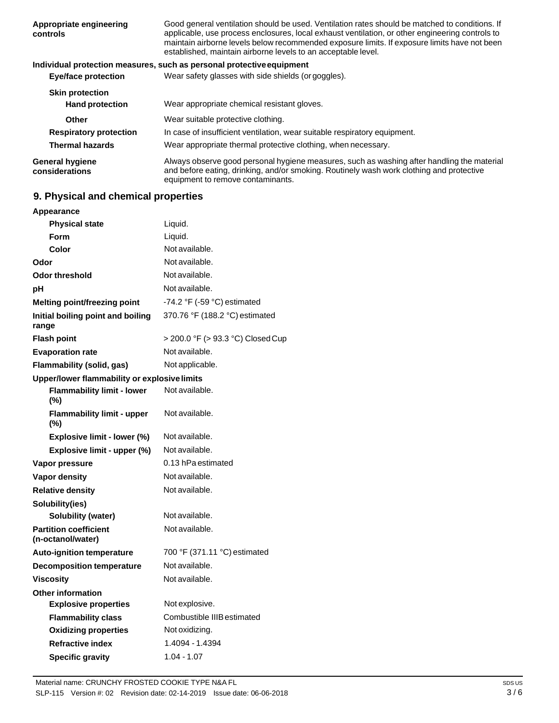| Appropriate engineering<br>controls      | Good general ventilation should be used. Ventilation rates should be matched to conditions. If<br>applicable, use process enclosures, local exhaust ventilation, or other engineering controls to<br>maintain airborne levels below recommended exposure limits. If exposure limits have not been<br>established, maintain airborne levels to an acceptable level. |
|------------------------------------------|--------------------------------------------------------------------------------------------------------------------------------------------------------------------------------------------------------------------------------------------------------------------------------------------------------------------------------------------------------------------|
|                                          | Individual protection measures, such as personal protective equipment                                                                                                                                                                                                                                                                                              |
| <b>Eye/face protection</b>               | Wear safety glasses with side shields (or goggles).                                                                                                                                                                                                                                                                                                                |
| <b>Skin protection</b>                   |                                                                                                                                                                                                                                                                                                                                                                    |
| <b>Hand protection</b>                   | Wear appropriate chemical resistant gloves.                                                                                                                                                                                                                                                                                                                        |
| Other                                    | Wear suitable protective clothing.                                                                                                                                                                                                                                                                                                                                 |
| <b>Respiratory protection</b>            | In case of insufficient ventilation, wear suitable respiratory equipment.                                                                                                                                                                                                                                                                                          |
| <b>Thermal hazards</b>                   | Wear appropriate thermal protective clothing, when necessary.                                                                                                                                                                                                                                                                                                      |
| <b>General hygiene</b><br>considerations | Always observe good personal hygiene measures, such as washing after handling the material<br>and before eating, drinking, and/or smoking. Routinely wash work clothing and protective<br>equipment to remove contaminants.                                                                                                                                        |

# **9. Physical and chemical properties**

| Appearance                                        |                                               |  |  |
|---------------------------------------------------|-----------------------------------------------|--|--|
| <b>Physical state</b>                             | Liquid.                                       |  |  |
| Form                                              | Liquid.                                       |  |  |
| Color                                             | Not available.                                |  |  |
| Odor                                              | Not available.                                |  |  |
| <b>Odor threshold</b>                             | Not available.                                |  |  |
| рH                                                | Not available.                                |  |  |
| Melting point/freezing point                      | -74.2 $\degree$ F (-59 $\degree$ C) estimated |  |  |
| Initial boiling point and boiling<br>range        | 370.76 °F (188.2 °C) estimated                |  |  |
| <b>Flash point</b>                                | > 200.0 °F (> 93.3 °C) Closed Cup             |  |  |
| <b>Evaporation rate</b>                           | Not available.                                |  |  |
| <b>Flammability (solid, gas)</b>                  | Not applicable.                               |  |  |
| Upper/lower flammability or explosive limits      |                                               |  |  |
| <b>Flammability limit - lower</b><br>(%)          | Not available.                                |  |  |
| <b>Flammability limit - upper</b><br>$(\%)$       | Not available.                                |  |  |
| Explosive limit - lower (%)                       | Not available.                                |  |  |
| Explosive limit - upper (%)                       | Not available.                                |  |  |
| Vapor pressure                                    | 0.13 hPa estimated                            |  |  |
| <b>Vapor density</b>                              | Not available.                                |  |  |
| <b>Relative density</b>                           | Not available.                                |  |  |
| Solubility(ies)                                   |                                               |  |  |
| <b>Solubility (water)</b>                         | Not available.                                |  |  |
| <b>Partition coefficient</b><br>(n-octanol/water) | Not available.                                |  |  |
| Auto-ignition temperature                         | 700 °F (371.11 °C) estimated                  |  |  |
| <b>Decomposition temperature</b>                  | Not available.                                |  |  |
| <b>Viscosity</b>                                  | Not available.                                |  |  |
| <b>Other information</b>                          |                                               |  |  |
| <b>Explosive properties</b>                       | Not explosive.                                |  |  |
| <b>Flammability class</b>                         | Combustible IIIB estimated                    |  |  |
| <b>Oxidizing properties</b>                       | Not oxidizing.                                |  |  |
| <b>Refractive index</b>                           | 1.4094 - 1.4394                               |  |  |
| <b>Specific gravity</b>                           | $1.04 - 1.07$                                 |  |  |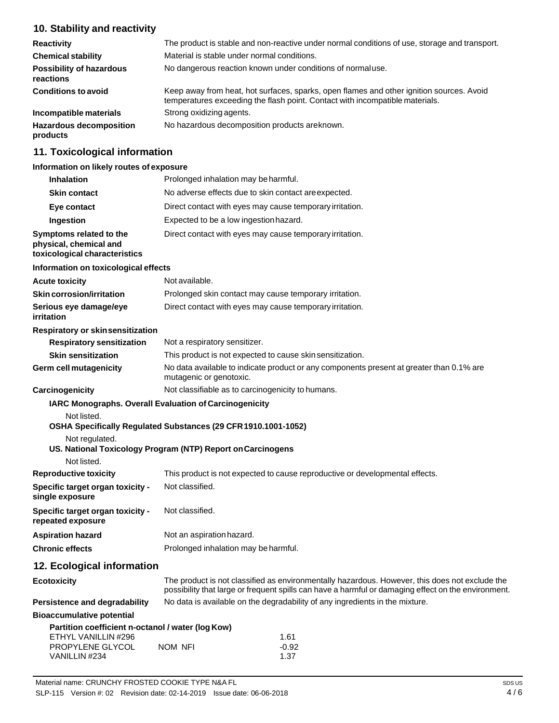## **10. Stability and reactivity**

| <b>Reactivity</b>                            | The product is stable and non-reactive under normal conditions of use, storage and transport.                                                                            |
|----------------------------------------------|--------------------------------------------------------------------------------------------------------------------------------------------------------------------------|
| <b>Chemical stability</b>                    | Material is stable under normal conditions.                                                                                                                              |
| <b>Possibility of hazardous</b><br>reactions | No dangerous reaction known under conditions of normaluse.                                                                                                               |
| <b>Conditions to avoid</b>                   | Keep away from heat, hot surfaces, sparks, open flames and other ignition sources. Avoid<br>temperatures exceeding the flash point. Contact with incompatible materials. |
| Incompatible materials                       | Strong oxidizing agents.                                                                                                                                                 |
| <b>Hazardous decomposition</b><br>products   | No hazardous decomposition products areknown.                                                                                                                            |

## **11. Toxicological information**

#### **Information on likely routes of exposure**

| <b>Inhalation</b>                                                                  | Prolonged inhalation may be harmful.                                                                                                                                                                  |
|------------------------------------------------------------------------------------|-------------------------------------------------------------------------------------------------------------------------------------------------------------------------------------------------------|
| <b>Skin contact</b>                                                                | No adverse effects due to skin contact areexpected.                                                                                                                                                   |
| Eye contact                                                                        | Direct contact with eyes may cause temporary irritation.                                                                                                                                              |
| Ingestion                                                                          | Expected to be a low ingestion hazard.                                                                                                                                                                |
| Symptoms related to the<br>physical, chemical and<br>toxicological characteristics | Direct contact with eyes may cause temporary irritation.                                                                                                                                              |
| Information on toxicological effects                                               |                                                                                                                                                                                                       |
| <b>Acute toxicity</b>                                                              | Not available.                                                                                                                                                                                        |
| <b>Skin corrosion/irritation</b>                                                   | Prolonged skin contact may cause temporary irritation.                                                                                                                                                |
| Serious eye damage/eye<br>irritation                                               | Direct contact with eyes may cause temporary irritation.                                                                                                                                              |
| Respiratory or skinsensitization                                                   |                                                                                                                                                                                                       |
| <b>Respiratory sensitization</b>                                                   | Not a respiratory sensitizer.                                                                                                                                                                         |
| <b>Skin sensitization</b>                                                          | This product is not expected to cause skin sensitization.                                                                                                                                             |
| <b>Germ cell mutagenicity</b>                                                      | No data available to indicate product or any components present at greater than 0.1% are<br>mutagenic or genotoxic.                                                                                   |
| Carcinogenicity                                                                    | Not classifiable as to carcinogenicity to humans.                                                                                                                                                     |
|                                                                                    | IARC Monographs. Overall Evaluation of Carcinogenicity                                                                                                                                                |
| Not listed.<br>Not regulated.<br>Not listed.                                       | OSHA Specifically Regulated Substances (29 CFR 1910.1001-1052)<br>US. National Toxicology Program (NTP) Report on Carcinogens                                                                         |
| <b>Reproductive toxicity</b>                                                       | This product is not expected to cause reproductive or developmental effects.                                                                                                                          |
| Specific target organ toxicity -<br>single exposure                                | Not classified.                                                                                                                                                                                       |
| Specific target organ toxicity -<br>repeated exposure                              | Not classified.                                                                                                                                                                                       |
| <b>Aspiration hazard</b>                                                           | Not an aspiration hazard.                                                                                                                                                                             |
| <b>Chronic effects</b>                                                             | Prolonged inhalation may be harmful.                                                                                                                                                                  |
| 12. Ecological information                                                         |                                                                                                                                                                                                       |
| <b>Ecotoxicity</b>                                                                 | The product is not classified as environmentally hazardous. However, this does not exclude the<br>possibility that large or frequent spills can have a harmful or damaging effect on the environment. |
| Persistence and degradability                                                      | No data is available on the degradability of any ingredients in the mixture.                                                                                                                          |
| <b>Bioaccumulative potential</b>                                                   |                                                                                                                                                                                                       |
| Partition coefficient n-octanol / water (log Kow)                                  |                                                                                                                                                                                                       |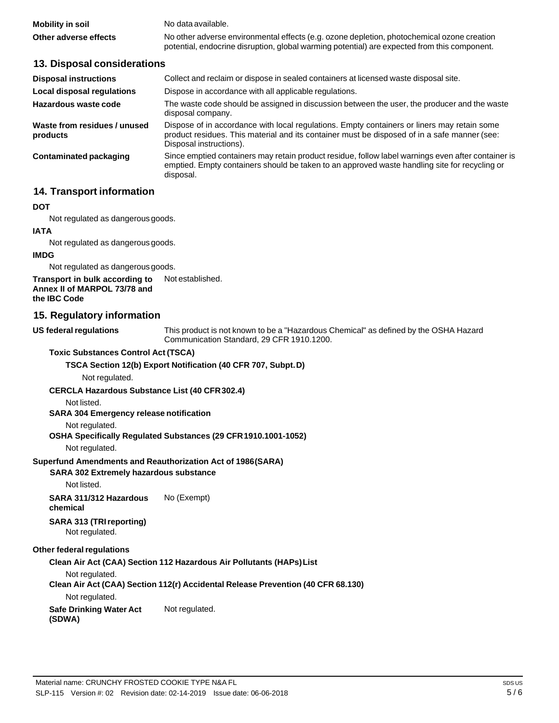| Mobility in soil      | No data available.                                                                           |
|-----------------------|----------------------------------------------------------------------------------------------|
| Other adverse effects | No other adverse environmental effects (e.g. ozone depletion, photochemical ozone creation   |
|                       | potential, endocrine disruption, global warming potential) are expected from this component. |

#### **13. Disposal considerations**

| Collect and reclaim or dispose in sealed containers at licensed waste disposal site.                                                                                                                                   |
|------------------------------------------------------------------------------------------------------------------------------------------------------------------------------------------------------------------------|
| Dispose in accordance with all applicable regulations.                                                                                                                                                                 |
| The waste code should be assigned in discussion between the user, the producer and the waste<br>disposal company.                                                                                                      |
| Dispose of in accordance with local regulations. Empty containers or liners may retain some<br>product residues. This material and its container must be disposed of in a safe manner (see:<br>Disposal instructions). |
| Since emptied containers may retain product residue, follow label warnings even after container is<br>emptied. Empty containers should be taken to an approved waste handling site for recycling or<br>disposal.       |
|                                                                                                                                                                                                                        |

### **14. Transport information**

#### **DOT**

Not regulated as dangerous goods.

#### **IATA**

Not regulated as dangerous goods.

#### **IMDG**

Not regulated as dangerous goods.

**Transport in bulk according to Annex II of MARPOL 73/78 and the IBC Code** Not established.

#### **15. Regulatory information**

#### **US** federal regulations

This product is not known to be a "Hazardous Chemical" as defined by the OSHA Hazard Communication Standard, 29 CFR 1910.1200.

#### **Toxic Substances Control Act (TSCA)**

#### **TSCA Section 12(b) Export Notification (40 CFR 707, Subpt.D)**

Not regulated.

#### **CERCLA Hazardous Substance List (40 CFR302.4)**

Not listed.

#### **SARA 304 Emergency release notification**

#### Not regulated.

#### **OSHA Specifically Regulated Substances (29 CFR1910.1001-1052)**

Not regulated.

#### **Superfund Amendments and Reauthorization Act of 1986(SARA)**

#### **SARA 302 Extremely hazardous substance**

Not listed.

#### **SARA 311/312 Hazardous chemical** No (Exempt)

#### **SARA 313 (TRIreporting)**

Not regulated.

#### **Other federal regulations**

#### **Clean Air Act (CAA) Section 112 Hazardous Air Pollutants (HAPs)List**

Not regulated.

#### **Clean Air Act (CAA) Section 112(r) Accidental Release Prevention (40 CFR 68.130)**

Not regulated.

**Safe Drinking Water Act** Not regulated.

**(SDWA)**